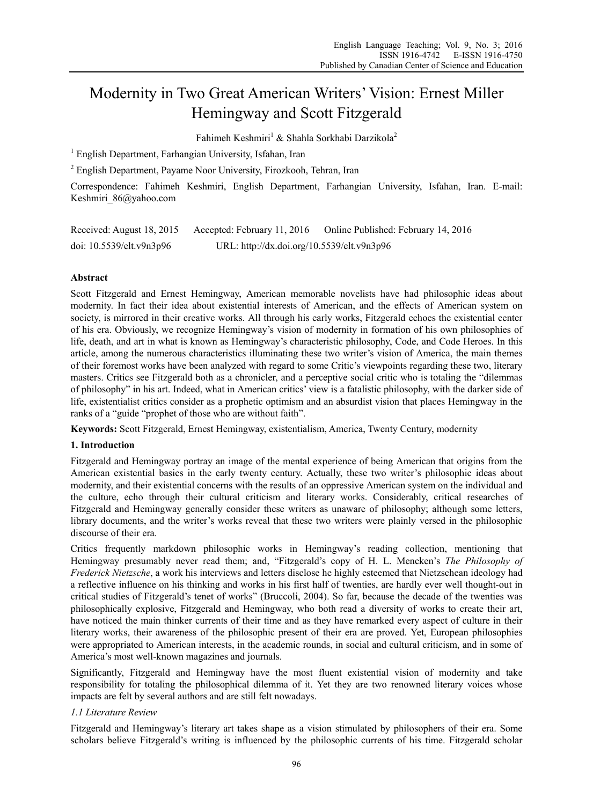# Modernity in Two Great American Writers' Vision: Ernest Miller Hemingway and Scott Fitzgerald

Fahimeh Keshmiri<sup>1</sup> & Shahla Sorkhabi Darzikola<sup>2</sup>

<sup>1</sup> English Department, Farhangian University, Isfahan, Iran

<sup>2</sup> English Department, Payame Noor University, Firozkooh, Tehran, Iran

Correspondence: Fahimeh Keshmiri, English Department, Farhangian University, Isfahan, Iran. E-mail: Keshmiri\_86@yahoo.com

| Received: August 18, 2015 | Accepted: February 11, 2016                | Online Published: February 14, 2016 |
|---------------------------|--------------------------------------------|-------------------------------------|
| doi: 10.5539/elt.v9n3p96  | URL: http://dx.doi.org/10.5539/elt.v9n3p96 |                                     |

## **Abstract**

Scott Fitzgerald and Ernest Hemingway, American memorable novelists have had philosophic ideas about modernity. In fact their idea about existential interests of American, and the effects of American system on society, is mirrored in their creative works. All through his early works, Fitzgerald echoes the existential center of his era. Obviously, we recognize Hemingway's vision of modernity in formation of his own philosophies of life, death, and art in what is known as Hemingway's characteristic philosophy, Code, and Code Heroes. In this article, among the numerous characteristics illuminating these two writer's vision of America, the main themes of their foremost works have been analyzed with regard to some Critic's viewpoints regarding these two, literary masters. Critics see Fitzgerald both as a chronicler, and a perceptive social critic who is totaling the "dilemmas of philosophy" in his art. Indeed, what in American critics' view is a fatalistic philosophy, with the darker side of life, existentialist critics consider as a prophetic optimism and an absurdist vision that places Hemingway in the ranks of a "guide "prophet of those who are without faith".

**Keywords:** Scott Fitzgerald, Ernest Hemingway, existentialism, America, Twenty Century, modernity

#### **1. Introduction**

Fitzgerald and Hemingway portray an image of the mental experience of being American that origins from the American existential basics in the early twenty century. Actually, these two writer's philosophic ideas about modernity, and their existential concerns with the results of an oppressive American system on the individual and the culture, echo through their cultural criticism and literary works. Considerably, critical researches of Fitzgerald and Hemingway generally consider these writers as unaware of philosophy; although some letters, library documents, and the writer's works reveal that these two writers were plainly versed in the philosophic discourse of their era.

Critics frequently markdown philosophic works in Hemingway's reading collection, mentioning that Hemingway presumably never read them; and, "Fitzgerald's copy of H. L. Mencken's *The Philosophy of Frederick Nietzsche*, a work his interviews and letters disclose he highly esteemed that Nietzschean ideology had a reflective influence on his thinking and works in his first half of twenties, are hardly ever well thought-out in critical studies of Fitzgerald's tenet of works" (Bruccoli, 2004). So far, because the decade of the twenties was philosophically explosive, Fitzgerald and Hemingway, who both read a diversity of works to create their art, have noticed the main thinker currents of their time and as they have remarked every aspect of culture in their literary works, their awareness of the philosophic present of their era are proved. Yet, European philosophies were appropriated to American interests, in the academic rounds, in social and cultural criticism, and in some of America's most well-known magazines and journals.

Significantly, Fitzgerald and Hemingway have the most fluent existential vision of modernity and take responsibility for totaling the philosophical dilemma of it. Yet they are two renowned literary voices whose impacts are felt by several authors and are still felt nowadays.

#### *1.1 Literature Review*

Fitzgerald and Hemingway's literary art takes shape as a vision stimulated by philosophers of their era. Some scholars believe Fitzgerald's writing is influenced by the philosophic currents of his time. Fitzgerald scholar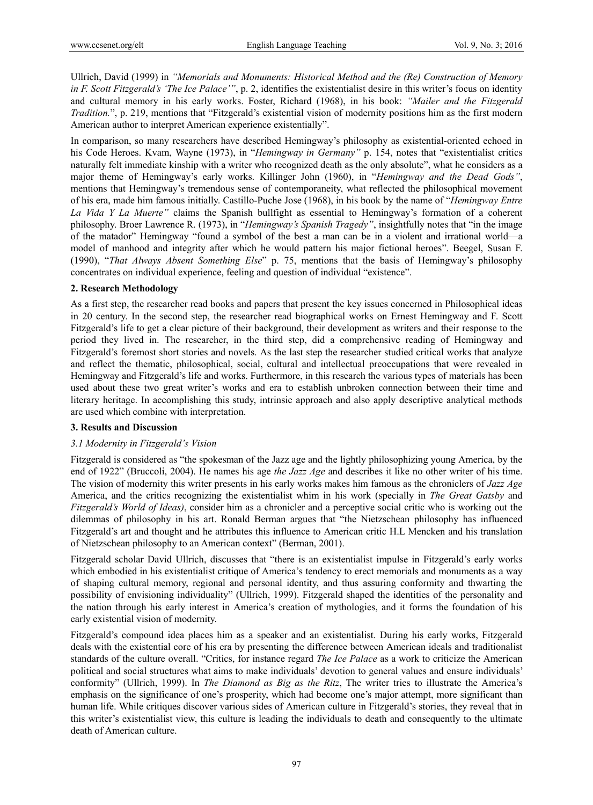Ullrich, David (1999) in *"Memorials and Monuments: Historical Method and the (Re) Construction of Memory in F. Scott Fitzgerald's 'The Ice Palace'"*, p. 2, identifies the existentialist desire in this writer's focus on identity and cultural memory in his early works. Foster, Richard (1968), in his book: *"Mailer and the Fitzgerald Tradition.*", p. 219, mentions that "Fitzgerald's existential vision of modernity positions him as the first modern American author to interpret American experience existentially".

In comparison, so many researchers have described Hemingway's philosophy as existential-oriented echoed in his Code Heroes. Kvam, Wayne (1973), in "*Hemingway in Germany"* p. 154, notes that "existentialist critics naturally felt immediate kinship with a writer who recognized death as the only absolute", what he considers as a major theme of Hemingway's early works. Killinger John (1960), in "*Hemingway and the Dead Gods"*, mentions that Hemingway's tremendous sense of contemporaneity, what reflected the philosophical movement of his era, made him famous initially. Castillo-Puche Jose (1968), in his book by the name of "*Hemingway Entre La Vida Y La Muerte"* claims the Spanish bullfight as essential to Hemingway's formation of a coherent philosophy. Broer Lawrence R. (1973), in "*Hemingway's Spanish Tragedy"*, insightfully notes that "in the image of the matador" Hemingway "found a symbol of the best a man can be in a violent and irrational world—a model of manhood and integrity after which he would pattern his major fictional heroes". Beegel, Susan F. (1990), "*That Always Absent Something Else*" p. 75, mentions that the basis of Hemingway's philosophy concentrates on individual experience, feeling and question of individual "existence".

### **2. Research Methodology**

As a first step, the researcher read books and papers that present the key issues concerned in Philosophical ideas in 20 century. In the second step, the researcher read biographical works on Ernest Hemingway and F. Scott Fitzgerald's life to get a clear picture of their background, their development as writers and their response to the period they lived in. The researcher, in the third step, did a comprehensive reading of Hemingway and Fitzgerald's foremost short stories and novels. As the last step the researcher studied critical works that analyze and reflect the thematic, philosophical, social, cultural and intellectual preoccupations that were revealed in Hemingway and Fitzgerald's life and works. Furthermore, in this research the various types of materials has been used about these two great writer's works and era to establish unbroken connection between their time and literary heritage. In accomplishing this study, intrinsic approach and also apply descriptive analytical methods are used which combine with interpretation.

#### **3. Results and Discussion**

#### *3.1 Modernity in Fitzgerald's Vision*

Fitzgerald is considered as "the spokesman of the Jazz age and the lightly philosophizing young America, by the end of 1922" (Bruccoli, 2004). He names his age *the Jazz Age* and describes it like no other writer of his time. The vision of modernity this writer presents in his early works makes him famous as the chroniclers of *Jazz Age*  America, and the critics recognizing the existentialist whim in his work (specially in *The Great Gatsby* and *Fitzgerald's World of Ideas)*, consider him as a chronicler and a perceptive social critic who is working out the dilemmas of philosophy in his art. Ronald Berman argues that "the Nietzschean philosophy has influenced Fitzgerald's art and thought and he attributes this influence to American critic H.L Mencken and his translation of Nietzschean philosophy to an American context" (Berman, 2001).

Fitzgerald scholar David Ullrich, discusses that "there is an existentialist impulse in Fitzgerald's early works which embodied in his existentialist critique of America's tendency to erect memorials and monuments as a way of shaping cultural memory, regional and personal identity, and thus assuring conformity and thwarting the possibility of envisioning individuality" (Ullrich, 1999). Fitzgerald shaped the identities of the personality and the nation through his early interest in America's creation of mythologies, and it forms the foundation of his early existential vision of modernity.

Fitzgerald's compound idea places him as a speaker and an existentialist. During his early works, Fitzgerald deals with the existential core of his era by presenting the difference between American ideals and traditionalist standards of the culture overall. "Critics, for instance regard *The Ice Palace* as a work to criticize the American political and social structures what aims to make individuals' devotion to general values and ensure individuals' conformity" (Ullrich, 1999). In *The Diamond as Big as the Ritz*, The writer tries to illustrate the America's emphasis on the significance of one's prosperity, which had become one's major attempt, more significant than human life. While critiques discover various sides of American culture in Fitzgerald's stories, they reveal that in this writer's existentialist view, this culture is leading the individuals to death and consequently to the ultimate death of American culture.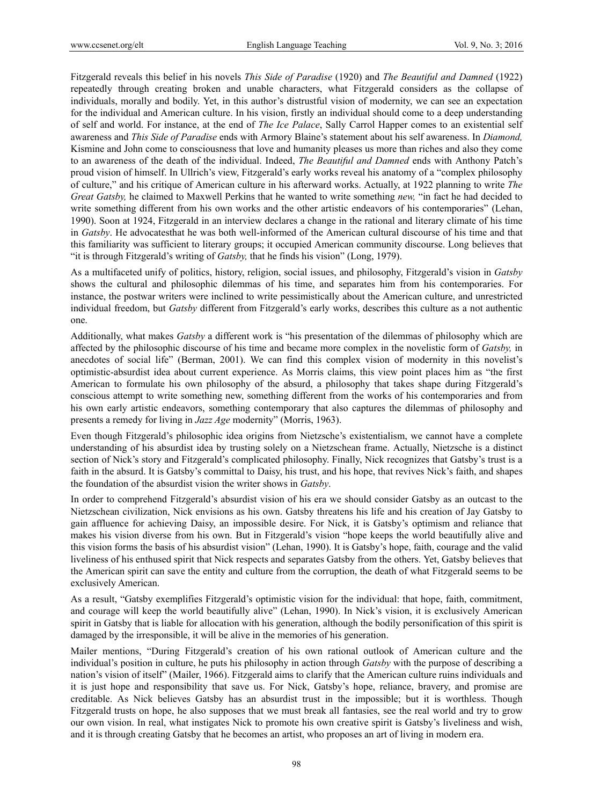Fitzgerald reveals this belief in his novels *This Side of Paradise* (1920) and *The Beautiful and Damned* (1922) repeatedly through creating broken and unable characters, what Fitzgerald considers as the collapse of individuals, morally and bodily. Yet, in this author's distrustful vision of modernity, we can see an expectation for the individual and American culture. In his vision, firstly an individual should come to a deep understanding of self and world. For instance, at the end of *The Ice Palace*, Sally Carrol Happer comes to an existential self awareness and *This Side of Paradise* ends with Armory Blaine's statement about his self awareness. In *Diamond,* Kismine and John come to consciousness that love and humanity pleases us more than riches and also they come to an awareness of the death of the individual. Indeed, *The Beautiful and Damned* ends with Anthony Patch's proud vision of himself. In Ullrich's view, Fitzgerald's early works reveal his anatomy of a "complex philosophy of culture," and his critique of American culture in his afterward works. Actually, at 1922 planning to write *The Great Gatsby,* he claimed to Maxwell Perkins that he wanted to write something *new,* "in fact he had decided to write something different from his own works and the other artistic endeavors of his contemporaries" (Lehan, 1990). Soon at 1924, Fitzgerald in an interview declares a change in the rational and literary climate of his time in *Gatsby*. He advocatesthat he was both well-informed of the American cultural discourse of his time and that this familiarity was sufficient to literary groups; it occupied American community discourse. Long believes that "it is through Fitzgerald's writing of *Gatsby,* that he finds his vision" (Long, 1979).

As a multifaceted unify of politics, history, religion, social issues, and philosophy, Fitzgerald's vision in *Gatsby* shows the cultural and philosophic dilemmas of his time, and separates him from his contemporaries. For instance, the postwar writers were inclined to write pessimistically about the American culture, and unrestricted individual freedom, but *Gatsby* different from Fitzgerald's early works, describes this culture as a not authentic one.

Additionally, what makes *Gatsby* a different work is "his presentation of the dilemmas of philosophy which are affected by the philosophic discourse of his time and became more complex in the novelistic form of *Gatsby,* in anecdotes of social life" (Berman, 2001). We can find this complex vision of modernity in this novelist's optimistic-absurdist idea about current experience. As Morris claims, this view point places him as "the first American to formulate his own philosophy of the absurd, a philosophy that takes shape during Fitzgerald's conscious attempt to write something new, something different from the works of his contemporaries and from his own early artistic endeavors, something contemporary that also captures the dilemmas of philosophy and presents a remedy for living in *Jazz Age* modernity" (Morris, 1963).

Even though Fitzgerald's philosophic idea origins from Nietzsche's existentialism, we cannot have a complete understanding of his absurdist idea by trusting solely on a Nietzschean frame. Actually, Nietzsche is a distinct section of Nick's story and Fitzgerald's complicated philosophy. Finally, Nick recognizes that Gatsby's trust is a faith in the absurd. It is Gatsby's committal to Daisy, his trust, and his hope, that revives Nick's faith, and shapes the foundation of the absurdist vision the writer shows in *Gatsby*.

In order to comprehend Fitzgerald's absurdist vision of his era we should consider Gatsby as an outcast to the Nietzschean civilization, Nick envisions as his own. Gatsby threatens his life and his creation of Jay Gatsby to gain affluence for achieving Daisy, an impossible desire. For Nick, it is Gatsby's optimism and reliance that makes his vision diverse from his own. But in Fitzgerald's vision "hope keeps the world beautifully alive and this vision forms the basis of his absurdist vision" (Lehan, 1990). It is Gatsby's hope, faith, courage and the valid liveliness of his enthused spirit that Nick respects and separates Gatsby from the others. Yet, Gatsby believes that the American spirit can save the entity and culture from the corruption, the death of what Fitzgerald seems to be exclusively American.

As a result, "Gatsby exemplifies Fitzgerald's optimistic vision for the individual: that hope, faith, commitment, and courage will keep the world beautifully alive" (Lehan, 1990). In Nick's vision, it is exclusively American spirit in Gatsby that is liable for allocation with his generation, although the bodily personification of this spirit is damaged by the irresponsible, it will be alive in the memories of his generation.

Mailer mentions, "During Fitzgerald's creation of his own rational outlook of American culture and the individual's position in culture, he puts his philosophy in action through *Gatsby* with the purpose of describing a nation's vision of itself" (Mailer, 1966). Fitzgerald aims to clarify that the American culture ruins individuals and it is just hope and responsibility that save us. For Nick, Gatsby's hope, reliance, bravery, and promise are creditable. As Nick believes Gatsby has an absurdist trust in the impossible; but it is worthless. Though Fitzgerald trusts on hope, he also supposes that we must break all fantasies, see the real world and try to grow our own vision. In real, what instigates Nick to promote his own creative spirit is Gatsby's liveliness and wish, and it is through creating Gatsby that he becomes an artist, who proposes an art of living in modern era.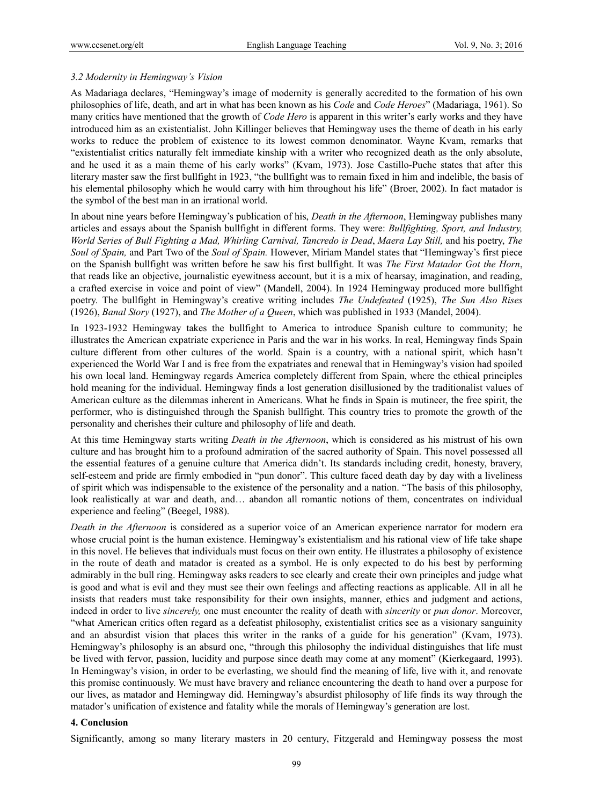#### *3.2 Modernity in Hemingway's Vision*

As Madariaga declares, "Hemingway's image of modernity is generally accredited to the formation of his own philosophies of life, death, and art in what has been known as his *Code* and *Code Heroes*" (Madariaga, 1961). So many critics have mentioned that the growth of *Code Hero* is apparent in this writer's early works and they have introduced him as an existentialist. John Killinger believes that Hemingway uses the theme of death in his early works to reduce the problem of existence to its lowest common denominator. Wayne Kvam, remarks that "existentialist critics naturally felt immediate kinship with a writer who recognized death as the only absolute, and he used it as a main theme of his early works" (Kvam, 1973). Jose Castillo-Puche states that after this literary master saw the first bullfight in 1923, "the bullfight was to remain fixed in him and indelible, the basis of his elemental philosophy which he would carry with him throughout his life" (Broer, 2002). In fact matador is the symbol of the best man in an irrational world.

In about nine years before Hemingway's publication of his, *Death in the Afternoon*, Hemingway publishes many articles and essays about the Spanish bullfight in different forms. They were: *Bullfighting, Sport, and Industry, World Series of Bull Fighting a Mad, Whirling Carnival, Tancredo is Dead*, *Maera Lay Still,* and his poetry, *The Soul of Spain,* and Part Two of the *Soul of Spain.* However, Miriam Mandel states that "Hemingway's first piece on the Spanish bullfight was written before he saw his first bullfight. It was *The First Matador Got the Horn*, that reads like an objective, journalistic eyewitness account, but it is a mix of hearsay, imagination, and reading, a crafted exercise in voice and point of view" (Mandell, 2004). In 1924 Hemingway produced more bullfight poetry. The bullfight in Hemingway's creative writing includes *The Undefeated* (1925), *The Sun Also Rises*  (1926), *Banal Story* (1927), and *The Mother of a Queen*, which was published in 1933 (Mandel, 2004).

In 1923-1932 Hemingway takes the bullfight to America to introduce Spanish culture to community; he illustrates the American expatriate experience in Paris and the war in his works. In real, Hemingway finds Spain culture different from other cultures of the world. Spain is a country, with a national spirit, which hasn't experienced the World War I and is free from the expatriates and renewal that in Hemingway's vision had spoiled his own local land. Hemingway regards America completely different from Spain, where the ethical principles hold meaning for the individual. Hemingway finds a lost generation disillusioned by the traditionalist values of American culture as the dilemmas inherent in Americans. What he finds in Spain is mutineer, the free spirit, the performer, who is distinguished through the Spanish bullfight. This country tries to promote the growth of the personality and cherishes their culture and philosophy of life and death.

At this time Hemingway starts writing *Death in the Afternoon*, which is considered as his mistrust of his own culture and has brought him to a profound admiration of the sacred authority of Spain. This novel possessed all the essential features of a genuine culture that America didn't. Its standards including credit, honesty, bravery, self-esteem and pride are firmly embodied in "pun donor". This culture faced death day by day with a liveliness of spirit which was indispensable to the existence of the personality and a nation. "The basis of this philosophy, look realistically at war and death, and… abandon all romantic notions of them, concentrates on individual experience and feeling" (Beegel, 1988).

*Death in the Afternoon* is considered as a superior voice of an American experience narrator for modern era whose crucial point is the human existence. Hemingway's existentialism and his rational view of life take shape in this novel. He believes that individuals must focus on their own entity. He illustrates a philosophy of existence in the route of death and matador is created as a symbol. He is only expected to do his best by performing admirably in the bull ring. Hemingway asks readers to see clearly and create their own principles and judge what is good and what is evil and they must see their own feelings and affecting reactions as applicable. All in all he insists that readers must take responsibility for their own insights, manner, ethics and judgment and actions, indeed in order to live *sincerely,* one must encounter the reality of death with *sincerity* or *pun donor*. Moreover, "what American critics often regard as a defeatist philosophy, existentialist critics see as a visionary sanguinity and an absurdist vision that places this writer in the ranks of a guide for his generation" (Kvam, 1973). Hemingway's philosophy is an absurd one, "through this philosophy the individual distinguishes that life must be lived with fervor, passion, lucidity and purpose since death may come at any moment" (Kierkegaard, 1993). In Hemingway's vision, in order to be everlasting, we should find the meaning of life, live with it, and renovate this promise continuously. We must have bravery and reliance encountering the death to hand over a purpose for our lives, as matador and Hemingway did. Hemingway's absurdist philosophy of life finds its way through the matador's unification of existence and fatality while the morals of Hemingway's generation are lost.

#### **4. Conclusion**

Significantly, among so many literary masters in 20 century, Fitzgerald and Hemingway possess the most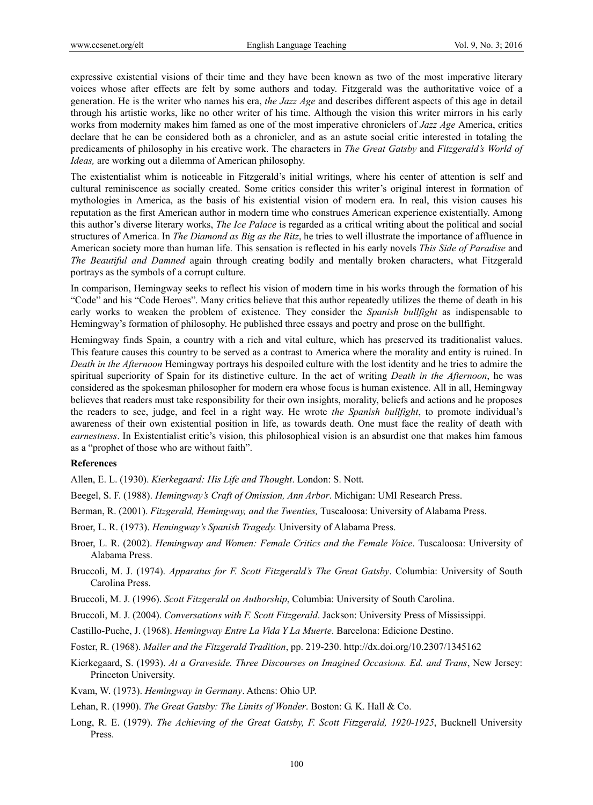expressive existential visions of their time and they have been known as two of the most imperative literary voices whose after effects are felt by some authors and today. Fitzgerald was the authoritative voice of a generation. He is the writer who names his era, *the Jazz Age* and describes different aspects of this age in detail through his artistic works, like no other writer of his time. Although the vision this writer mirrors in his early works from modernity makes him famed as one of the most imperative chroniclers of *Jazz Age* America, critics declare that he can be considered both as a chronicler, and as an astute social critic interested in totaling the predicaments of philosophy in his creative work. The characters in *The Great Gatsby* and *Fitzgerald's World of Ideas,* are working out a dilemma of American philosophy.

The existentialist whim is noticeable in Fitzgerald's initial writings, where his center of attention is self and cultural reminiscence as socially created. Some critics consider this writer's original interest in formation of mythologies in America, as the basis of his existential vision of modern era. In real, this vision causes his reputation as the first American author in modern time who construes American experience existentially. Among this author's diverse literary works, *The Ice Palace* is regarded as a critical writing about the political and social structures of America. In *The Diamond as Big as the Ritz*, he tries to well illustrate the importance of affluence in American society more than human life. This sensation is reflected in his early novels *This Side of Paradise* and *The Beautiful and Damned* again through creating bodily and mentally broken characters, what Fitzgerald portrays as the symbols of a corrupt culture.

In comparison, Hemingway seeks to reflect his vision of modern time in his works through the formation of his "Code" and his "Code Heroes". Many critics believe that this author repeatedly utilizes the theme of death in his early works to weaken the problem of existence. They consider the *Spanish bullfight* as indispensable to Hemingway's formation of philosophy. He published three essays and poetry and prose on the bullfight.

Hemingway finds Spain, a country with a rich and vital culture, which has preserved its traditionalist values. This feature causes this country to be served as a contrast to America where the morality and entity is ruined. In *Death in the Afternoon* Hemingway portrays his despoiled culture with the lost identity and he tries to admire the spiritual superiority of Spain for its distinctive culture. In the act of writing *Death in the Afternoon*, he was considered as the spokesman philosopher for modern era whose focus is human existence. All in all, Hemingway believes that readers must take responsibility for their own insights, morality, beliefs and actions and he proposes the readers to see, judge, and feel in a right way. He wrote *the Spanish bullfight*, to promote individual's awareness of their own existential position in life, as towards death. One must face the reality of death with *earnestness*. In Existentialist critic's vision, this philosophical vision is an absurdist one that makes him famous as a "prophet of those who are without faith".

#### **References**

Allen, E. L. (1930). *Kierkegaard: His Life and Thought*. London: S. Nott.

- Beegel, S. F. (1988). *Hemingway's Craft of Omission, Ann Arbor*. Michigan: UMI Research Press.
- Berman, R. (2001). *Fitzgerald, Hemingway, and the Twenties,* Tuscaloosa: University of Alabama Press.
- Broer, L. R. (1973). *Hemingway's Spanish Tragedy.* University of Alabama Press.
- Broer, L. R. (2002). *Hemingway and Women: Female Critics and the Female Voice*. Tuscaloosa: University of Alabama Press.
- Bruccoli, M. J. (1974). *Apparatus for F. Scott Fitzgerald's The Great Gatsby*. Columbia: University of South Carolina Press.
- Bruccoli, M. J. (1996). *Scott Fitzgerald on Authorship*, Columbia: University of South Carolina.
- Bruccoli, M. J. (2004). *Conversations with F. Scott Fitzgerald*. Jackson: University Press of Mississippi.
- Castillo-Puche, J. (1968). *Hemingway Entre La Vida Y La Muerte*. Barcelona: Edicione Destino.
- Foster, R. (1968). *Mailer and the Fitzgerald Tradition*, pp. 219-230. http://dx.doi.org/10.2307/1345162
- Kierkegaard, S. (1993). *At a Graveside. Three Discourses on Imagined Occasions. Ed. and Trans*, New Jersey: Princeton University.

Kvam, W. (1973). *Hemingway in Germany*. Athens: Ohio UP.

Lehan, R. (1990). *The Great Gatsby: The Limits of Wonder*. Boston: G. K. Hall & Co.

Long, R. E. (1979). *The Achieving of the Great Gatsby, F. Scott Fitzgerald, 1920-1925*, Bucknell University Press.